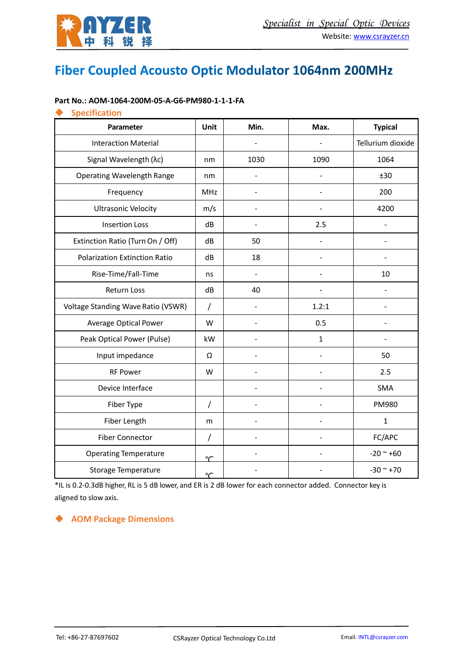

# Fiber Coupled Acousto Optic Modulator 1064nm 200MHz

#### **Part No.: AOM‐1064‐200M‐05‐A‐G6‐PM980‐1‐1‐1‐FA**

#### **Specification**

| Parameter                            | Unit           | Min.           | Max.         | <b>Typical</b>    |
|--------------------------------------|----------------|----------------|--------------|-------------------|
| <b>Interaction Material</b>          |                |                |              | Tellurium dioxide |
| Signal Wavelength (λc)               | nm             | 1030           | 1090         | 1064              |
| <b>Operating Wavelength Range</b>    | nm             |                |              | ±30               |
| Frequency                            | <b>MHz</b>     |                |              | 200               |
| <b>Ultrasonic Velocity</b>           | m/s            |                |              | 4200              |
| <b>Insertion Loss</b>                | dB             |                | 2.5          |                   |
| Extinction Ratio (Turn On / Off)     | dB             | 50             |              |                   |
| <b>Polarization Extinction Ratio</b> | dB             | 18             |              |                   |
| Rise-Time/Fall-Time                  | ns             | $\blacksquare$ |              | 10                |
| <b>Return Loss</b>                   | dB             | 40             |              |                   |
| Voltage Standing Wave Ratio (VSWR)   | $\prime$       |                | 1.2:1        |                   |
| Average Optical Power                | W              | $\blacksquare$ | 0.5          |                   |
| Peak Optical Power (Pulse)           | kW             |                | $\mathbf{1}$ |                   |
| Input impedance                      | Ω              |                |              | 50                |
| <b>RF Power</b>                      | W              |                |              | 2.5               |
| Device Interface                     |                |                |              | SMA               |
| Fiber Type                           | $\prime$       |                |              | PM980             |
| Fiber Length                         | m              |                |              | $\mathbf{1}$      |
| <b>Fiber Connector</b>               | $\overline{1}$ | L,             |              | FC/APC            |
| <b>Operating Temperature</b>         | $\sim$         |                |              | $-20 - +60$       |
| <b>Storage Temperature</b>           | $\sim$         |                |              | $-30$ ~ $+70$     |

\*IL is 0.2‐0.3dB higher, RL is 5 dB lower, and ER is 2 dB lower for each connector added. Connector key is aligned to slow axis.

#### **AOM Package Dimensions**